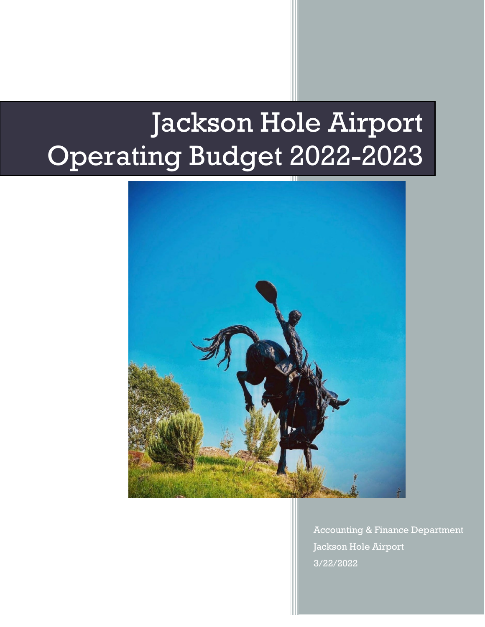# Jackson Hole Airport Operating Budget 2022-2023



Accounting & Finance Department Jackson Hole Airport 3/22/2022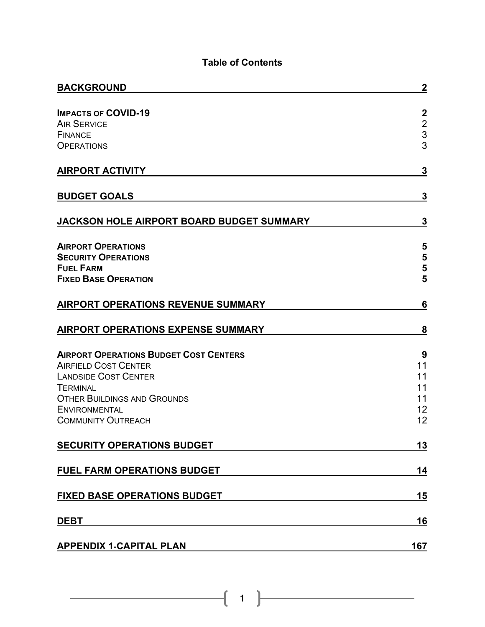## **Table of Contents**

| <b>BACKGROUND</b>                                                                                                                                                                                                         | $\boldsymbol{2}$                                               |
|---------------------------------------------------------------------------------------------------------------------------------------------------------------------------------------------------------------------------|----------------------------------------------------------------|
| <b>IMPACTS OF COVID-19</b><br><b>AIR SERVICE</b><br><b>FINANCE</b><br><b>OPERATIONS</b>                                                                                                                                   | $\boldsymbol{2}$<br>$\begin{array}{c} 2 \\ 3 \\ 3 \end{array}$ |
| <b>AIRPORT ACTIVITY</b>                                                                                                                                                                                                   | 3                                                              |
| <b>BUDGET GOALS</b>                                                                                                                                                                                                       | 3                                                              |
| JACKSON HOLE AIRPORT BOARD BUDGET SUMMARY                                                                                                                                                                                 | 3                                                              |
| <b>AIRPORT OPERATIONS</b><br><b>SECURITY OPERATIONS</b><br><b>FUEL FARM</b><br><b>FIXED BASE OPERATION</b>                                                                                                                | 5<br>5<br>5<br>5                                               |
| <b>AIRPORT OPERATIONS REVENUE SUMMARY</b>                                                                                                                                                                                 | 6                                                              |
| <b>AIRPORT OPERATIONS EXPENSE SUMMARY</b>                                                                                                                                                                                 | 8                                                              |
| <b>AIRPORT OPERATIONS BUDGET COST CENTERS</b><br><b>AIRFIELD COST CENTER</b><br><b>LANDSIDE COST CENTER</b><br><b>TERMINAL</b><br><b>OTHER BUILDINGS AND GROUNDS</b><br><b>ENVIRONMENTAL</b><br><b>COMMUNITY OUTREACH</b> | 9<br>11<br>11<br>11<br>11<br>12<br>12                          |
| <b>SECURITY OPERATIONS BUDGET</b>                                                                                                                                                                                         | <u>13</u>                                                      |
| FUEL FARM OPERATIONS BUDGET                                                                                                                                                                                               | 14                                                             |
| <b>FIXED BASE OPERATIONS BUDGET</b>                                                                                                                                                                                       | <u>15</u>                                                      |
| <b>DEBT</b>                                                                                                                                                                                                               | <u> 16</u>                                                     |
| <b>APPENDIX 1-CAPITAL PLAN</b>                                                                                                                                                                                            | 167                                                            |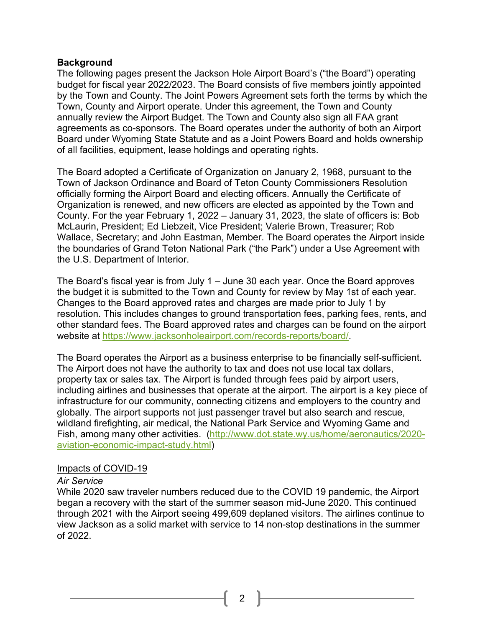#### <span id="page-2-0"></span>**Background**

The following pages present the Jackson Hole Airport Board's ("the Board") operating budget for fiscal year 2022/2023. The Board consists of five members jointly appointed by the Town and County. The Joint Powers Agreement sets forth the terms by which the Town, County and Airport operate. Under this agreement, the Town and County annually review the Airport Budget. The Town and County also sign all FAA grant agreements as co-sponsors. The Board operates under the authority of both an Airport Board under Wyoming State Statute and as a Joint Powers Board and holds ownership of all facilities, equipment, lease holdings and operating rights.

The Board adopted a Certificate of Organization on January 2, 1968, pursuant to the Town of Jackson Ordinance and Board of Teton County Commissioners Resolution officially forming the Airport Board and electing officers. Annually the Certificate of Organization is renewed, and new officers are elected as appointed by the Town and County. For the year February 1, 2022 – January 31, 2023, the slate of officers is: Bob McLaurin, President; Ed Liebzeit, Vice President; Valerie Brown, Treasurer; Rob Wallace, Secretary; and John Eastman, Member. The Board operates the Airport inside the boundaries of Grand Teton National Park ("the Park") under a Use Agreement with the U.S. Department of Interior.

The Board's fiscal year is from July 1 – June 30 each year. Once the Board approves the budget it is submitted to the Town and County for review by May 1st of each year. Changes to the Board approved rates and charges are made prior to July 1 by resolution. This includes changes to ground transportation fees, parking fees, rents, and other standard fees. The Board approved rates and charges can be found on the airport website at [https://www.jacksonholeairport.com/records-reports/board/.](https://www.jacksonholeairport.com/records-reports/board/)

The Board operates the Airport as a business enterprise to be financially self-sufficient. The Airport does not have the authority to tax and does not use local tax dollars, property tax or sales tax. The Airport is funded through fees paid by airport users, including airlines and businesses that operate at the airport. The airport is a key piece of infrastructure for our community, connecting citizens and employers to the country and globally. The airport supports not just passenger travel but also search and rescue, wildland firefighting, air medical, the National Park Service and Wyoming Game and Fish, among many other activities. [\(http://www.dot.state.wy.us/home/aeronautics/2020](http://www.dot.state.wy.us/home/aeronautics/2020-aviation-economic-impact-study.html) [aviation-economic-impact-study.html\)](http://www.dot.state.wy.us/home/aeronautics/2020-aviation-economic-impact-study.html)

#### <span id="page-2-1"></span>Impacts of COVID-19

#### <span id="page-2-2"></span>*Air Service*

While 2020 saw traveler numbers reduced due to the COVID 19 pandemic, the Airport began a recovery with the start of the summer season mid-June 2020. This continued through 2021 with the Airport seeing 499,609 deplaned visitors. The airlines continue to view Jackson as a solid market with service to 14 non-stop destinations in the summer of 2022.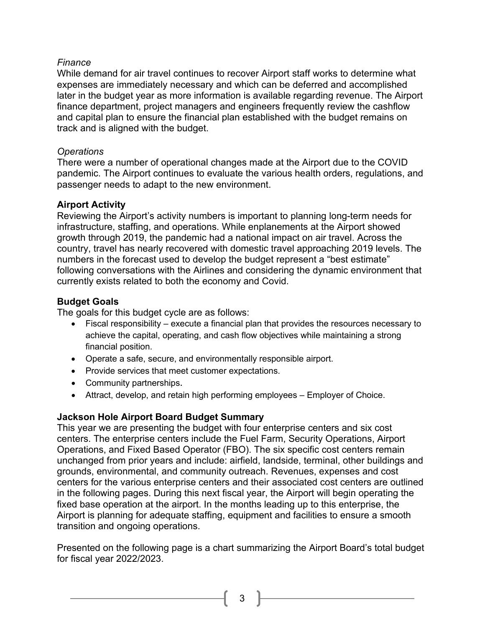### <span id="page-3-0"></span>*Finance*

While demand for air travel continues to recover Airport staff works to determine what expenses are immediately necessary and which can be deferred and accomplished later in the budget year as more information is available regarding revenue. The Airport finance department, project managers and engineers frequently review the cashflow and capital plan to ensure the financial plan established with the budget remains on track and is aligned with the budget.

## <span id="page-3-1"></span>*Operations*

There were a number of operational changes made at the Airport due to the COVID pandemic. The Airport continues to evaluate the various health orders, regulations, and passenger needs to adapt to the new environment.

## <span id="page-3-2"></span>**Airport Activity**

Reviewing the Airport's activity numbers is important to planning long-term needs for infrastructure, staffing, and operations. While enplanements at the Airport showed growth through 2019, the pandemic had a national impact on air travel. Across the country, travel has nearly recovered with domestic travel approaching 2019 levels. The numbers in the forecast used to develop the budget represent a "best estimate" following conversations with the Airlines and considering the dynamic environment that currently exists related to both the economy and Covid.

## <span id="page-3-3"></span>**Budget Goals**

The goals for this budget cycle are as follows:

- Fiscal responsibility execute a financial plan that provides the resources necessary to achieve the capital, operating, and cash flow objectives while maintaining a strong financial position.
- Operate a safe, secure, and environmentally responsible airport.
- Provide services that meet customer expectations.
- Community partnerships.
- Attract, develop, and retain high performing employees Employer of Choice.

## <span id="page-3-4"></span>**Jackson Hole Airport Board Budget Summary**

This year we are presenting the budget with four enterprise centers and six cost centers. The enterprise centers include the Fuel Farm, Security Operations, Airport Operations, and Fixed Based Operator (FBO). The six specific cost centers remain unchanged from prior years and include: airfield, landside, terminal, other buildings and grounds, environmental, and community outreach. Revenues, expenses and cost centers for the various enterprise centers and their associated cost centers are outlined in the following pages. During this next fiscal year, the Airport will begin operating the fixed base operation at the airport. In the months leading up to this enterprise, the Airport is planning for adequate staffing, equipment and facilities to ensure a smooth transition and ongoing operations.

Presented on the following page is a chart summarizing the Airport Board's total budget for fiscal year 2022/2023.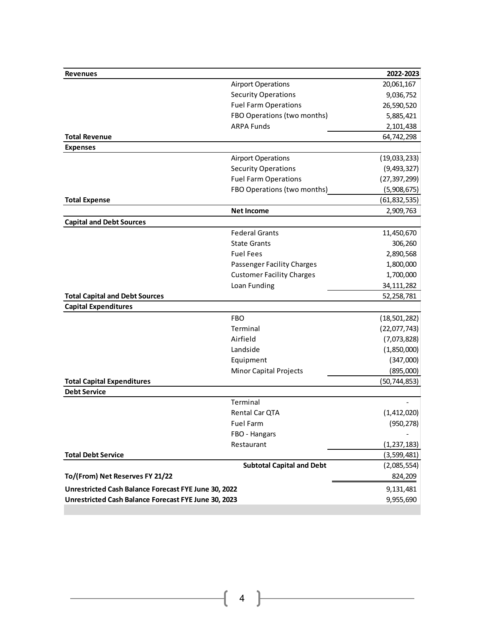| <b>Revenues</b>                                      |                                  | 2022-2023      |
|------------------------------------------------------|----------------------------------|----------------|
|                                                      | <b>Airport Operations</b>        | 20,061,167     |
|                                                      | <b>Security Operations</b>       | 9,036,752      |
|                                                      | <b>Fuel Farm Operations</b>      | 26,590,520     |
|                                                      | FBO Operations (two months)      | 5,885,421      |
|                                                      | <b>ARPA Funds</b>                | 2,101,438      |
| <b>Total Revenue</b>                                 |                                  | 64,742,298     |
| <b>Expenses</b>                                      |                                  |                |
|                                                      | <b>Airport Operations</b>        | (19,033,233)   |
|                                                      | <b>Security Operations</b>       | (9,493,327)    |
|                                                      | <b>Fuel Farm Operations</b>      | (27, 397, 299) |
|                                                      | FBO Operations (two months)      | (5,908,675)    |
| <b>Total Expense</b>                                 |                                  | (61, 832, 535) |
|                                                      | <b>Net Income</b>                | 2,909,763      |
| <b>Capital and Debt Sources</b>                      |                                  |                |
|                                                      | <b>Federal Grants</b>            | 11,450,670     |
|                                                      | <b>State Grants</b>              | 306,260        |
|                                                      | <b>Fuel Fees</b>                 | 2,890,568      |
|                                                      | Passenger Facility Charges       | 1,800,000      |
|                                                      | <b>Customer Facility Charges</b> | 1,700,000      |
|                                                      | Loan Funding                     | 34, 111, 282   |
| <b>Total Capital and Debt Sources</b>                |                                  | 52,258,781     |
| <b>Capital Expenditures</b>                          |                                  |                |
|                                                      | <b>FBO</b>                       | (18, 501, 282) |
|                                                      | Terminal                         | (22,077,743)   |
|                                                      | Airfield                         | (7,073,828)    |
|                                                      | Landside                         | (1,850,000)    |
|                                                      | Equipment                        | (347,000)      |
|                                                      | <b>Minor Capital Projects</b>    | (895,000)      |
| <b>Total Capital Expenditures</b>                    |                                  | (50, 744, 853) |
| <b>Debt Service</b>                                  |                                  |                |
|                                                      | Terminal                         |                |
|                                                      | Rental Car QTA                   | (1,412,020)    |
|                                                      | Fuel Farm                        | (950, 278)     |
|                                                      | FBO - Hangars                    |                |
|                                                      | Restaurant                       | (1, 237, 183)  |
| <b>Total Debt Service</b>                            |                                  | (3,599,481)    |
|                                                      | <b>Subtotal Capital and Debt</b> | (2,085,554)    |
| To/(From) Net Reserves FY 21/22                      |                                  | 824,209        |
| Unrestricted Cash Balance Forecast FYE June 30, 2022 | 9,131,481                        |                |
| Unrestricted Cash Balance Forecast FYE June 30, 2023 | 9,955,690                        |                |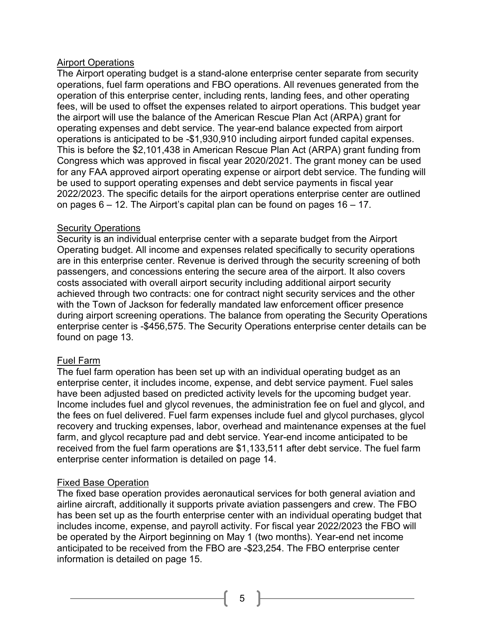### <span id="page-5-0"></span>Airport Operations

The Airport operating budget is a stand-alone enterprise center separate from security operations, fuel farm operations and FBO operations. All revenues generated from the operation of this enterprise center, including rents, landing fees, and other operating fees, will be used to offset the expenses related to airport operations. This budget year the airport will use the balance of the American Rescue Plan Act (ARPA) grant for operating expenses and debt service. The year-end balance expected from airport operations is anticipated to be -\$1,930,910 including airport funded capital expenses. This is before the \$2,101,438 in American Rescue Plan Act (ARPA) grant funding from Congress which was approved in fiscal year 2020/2021. The grant money can be used for any FAA approved airport operating expense or airport debt service. The funding will be used to support operating expenses and debt service payments in fiscal year 2022/2023. The specific details for the airport operations enterprise center are outlined on pages 6 – 12. The Airport's capital plan can be found on pages 16 – 17.

## <span id="page-5-1"></span>Security Operations

Security is an individual enterprise center with a separate budget from the Airport Operating budget. All income and expenses related specifically to security operations are in this enterprise center. Revenue is derived through the security screening of both passengers, and concessions entering the secure area of the airport. It also covers costs associated with overall airport security including additional airport security achieved through two contracts: one for contract night security services and the other with the Town of Jackson for federally mandated law enforcement officer presence during airport screening operations. The balance from operating the Security Operations enterprise center is -\$456,575. The Security Operations enterprise center details can be found on page 13.

## <span id="page-5-2"></span>Fuel Farm

The fuel farm operation has been set up with an individual operating budget as an enterprise center, it includes income, expense, and debt service payment. Fuel sales have been adjusted based on predicted activity levels for the upcoming budget year. Income includes fuel and glycol revenues, the administration fee on fuel and glycol, and the fees on fuel delivered. Fuel farm expenses include fuel and glycol purchases, glycol recovery and trucking expenses, labor, overhead and maintenance expenses at the fuel farm, and glycol recapture pad and debt service. Year-end income anticipated to be received from the fuel farm operations are \$1,133,511 after debt service. The fuel farm enterprise center information is detailed on page 14.

## <span id="page-5-3"></span>Fixed Base Operation

The fixed base operation provides aeronautical services for both general aviation and airline aircraft, additionally it supports private aviation passengers and crew. The FBO has been set up as the fourth enterprise center with an individual operating budget that includes income, expense, and payroll activity. For fiscal year 2022/2023 the FBO will be operated by the Airport beginning on May 1 (two months). Year-end net income anticipated to be received from the FBO are -\$23,254. The FBO enterprise center information is detailed on page 15.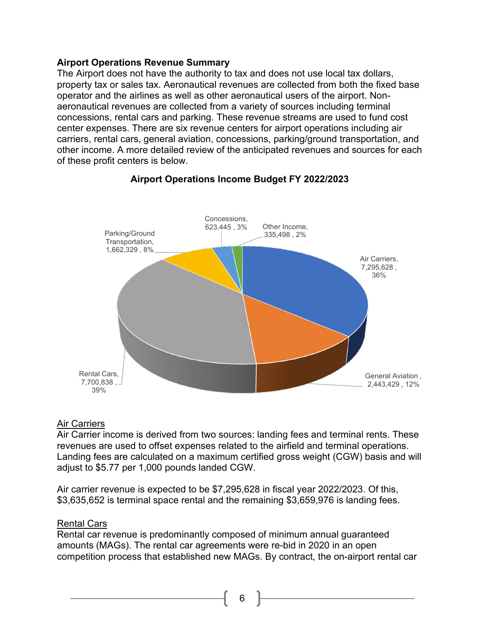#### <span id="page-6-0"></span>**Airport Operations Revenue Summary**

The Airport does not have the authority to tax and does not use local tax dollars, property tax or sales tax. Aeronautical revenues are collected from both the fixed base operator and the airlines as well as other aeronautical users of the airport. Nonaeronautical revenues are collected from a variety of sources including terminal concessions, rental cars and parking. These revenue streams are used to fund cost center expenses. There are six revenue centers for airport operations including air carriers, rental cars, general aviation, concessions, parking/ground transportation, and other income. A more detailed review of the anticipated revenues and sources for each of these profit centers is below.



## **Airport Operations Income Budget FY 2022/2023**

#### Air Carriers

Air Carrier income is derived from two sources: landing fees and terminal rents. These revenues are used to offset expenses related to the airfield and terminal operations. Landing fees are calculated on a maximum certified gross weight (CGW) basis and will adjust to \$5.77 per 1,000 pounds landed CGW.

Air carrier revenue is expected to be \$7,295,628 in fiscal year 2022/2023. Of this, \$3,635,652 is terminal space rental and the remaining \$3,659,976 is landing fees.

## Rental Cars

Rental car revenue is predominantly composed of minimum annual guaranteed amounts (MAGs). The rental car agreements were re-bid in 2020 in an open competition process that established new MAGs. By contract, the on-airport rental car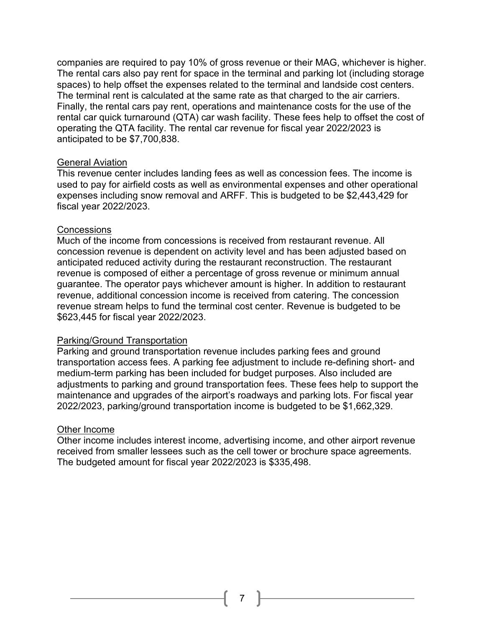companies are required to pay 10% of gross revenue or their MAG, whichever is higher. The rental cars also pay rent for space in the terminal and parking lot (including storage spaces) to help offset the expenses related to the terminal and landside cost centers. The terminal rent is calculated at the same rate as that charged to the air carriers. Finally, the rental cars pay rent, operations and maintenance costs for the use of the rental car quick turnaround (QTA) car wash facility. These fees help to offset the cost of operating the QTA facility. The rental car revenue for fiscal year 2022/2023 is anticipated to be \$7,700,838.

#### General Aviation

This revenue center includes landing fees as well as concession fees. The income is used to pay for airfield costs as well as environmental expenses and other operational expenses including snow removal and ARFF. This is budgeted to be \$2,443,429 for fiscal year 2022/2023.

#### **Concessions**

Much of the income from concessions is received from restaurant revenue. All concession revenue is dependent on activity level and has been adjusted based on anticipated reduced activity during the restaurant reconstruction. The restaurant revenue is composed of either a percentage of gross revenue or minimum annual guarantee. The operator pays whichever amount is higher. In addition to restaurant revenue, additional concession income is received from catering. The concession revenue stream helps to fund the terminal cost center. Revenue is budgeted to be \$623,445 for fiscal year 2022/2023.

#### Parking/Ground Transportation

Parking and ground transportation revenue includes parking fees and ground transportation access fees. A parking fee adjustment to include re-defining short- and medium-term parking has been included for budget purposes. Also included are adjustments to parking and ground transportation fees. These fees help to support the maintenance and upgrades of the airport's roadways and parking lots. For fiscal year 2022/2023, parking/ground transportation income is budgeted to be \$1,662,329.

#### Other Income

<span id="page-7-0"></span>Other income includes interest income, advertising income, and other airport revenue received from smaller lessees such as the cell tower or brochure space agreements. The budgeted amount for fiscal year 2022/2023 is \$335,498.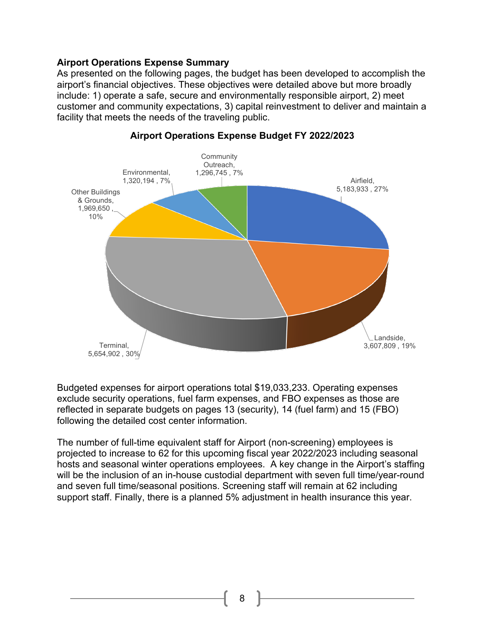#### **Airport Operations Expense Summary**

As presented on the following pages, the budget has been developed to accomplish the airport's financial objectives. These objectives were detailed above but more broadly include: 1) operate a safe, secure and environmentally responsible airport, 2) meet customer and community expectations, 3) capital reinvestment to deliver and maintain a facility that meets the needs of the traveling public.



**Airport Operations Expense Budget FY 2022/2023**

Budgeted expenses for airport operations total \$19,033,233. Operating expenses exclude security operations, fuel farm expenses, and FBO expenses as those are reflected in separate budgets on pages 13 (security), 14 (fuel farm) and 15 (FBO) following the detailed cost center information.

The number of full-time equivalent staff for Airport (non-screening) employees is projected to increase to 62 for this upcoming fiscal year 2022/2023 including seasonal hosts and seasonal winter operations employees. A key change in the Airport's staffing will be the inclusion of an in-house custodial department with seven full time/year-round and seven full time/seasonal positions. Screening staff will remain at 62 including support staff. Finally, there is a planned 5% adjustment in health insurance this year.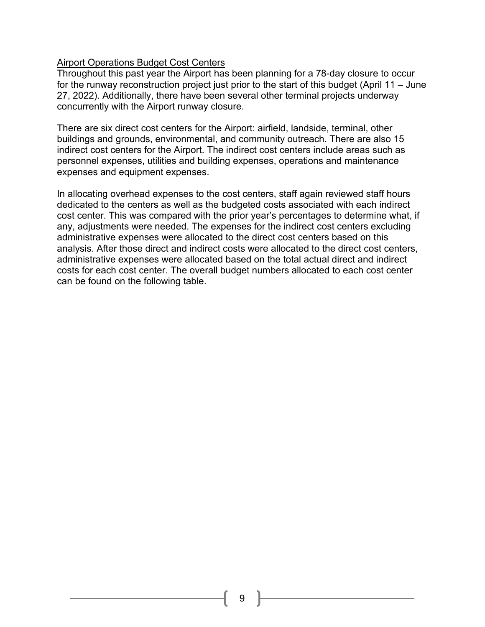## <span id="page-9-0"></span>**Airport Operations Budget Cost Centers**

Throughout this past year the Airport has been planning for a 78-day closure to occur for the runway reconstruction project just prior to the start of this budget (April 11 – June 27, 2022). Additionally, there have been several other terminal projects underway concurrently with the Airport runway closure.

There are six direct cost centers for the Airport: airfield, landside, terminal, other buildings and grounds, environmental, and community outreach. There are also 15 indirect cost centers for the Airport. The indirect cost centers include areas such as personnel expenses, utilities and building expenses, operations and maintenance expenses and equipment expenses.

In allocating overhead expenses to the cost centers, staff again reviewed staff hours dedicated to the centers as well as the budgeted costs associated with each indirect cost center. This was compared with the prior year's percentages to determine what, if any, adjustments were needed. The expenses for the indirect cost centers excluding administrative expenses were allocated to the direct cost centers based on this analysis. After those direct and indirect costs were allocated to the direct cost centers, administrative expenses were allocated based on the total actual direct and indirect costs for each cost center. The overall budget numbers allocated to each cost center can be found on the following table.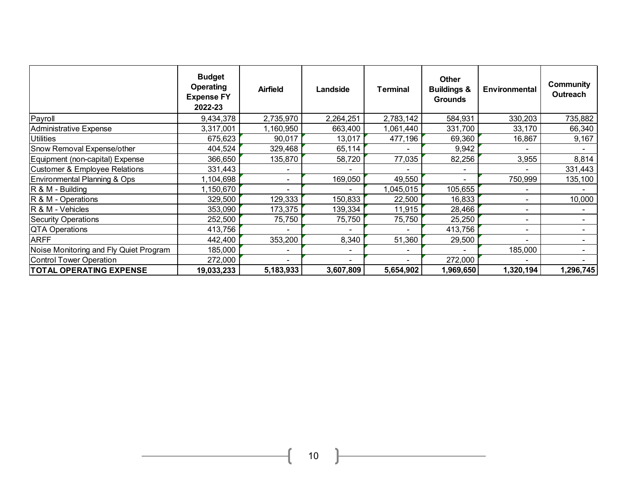|                                          | <b>Budget</b><br><b>Operating</b><br><b>Expense FY</b><br>2022-23 | <b>Airfield</b> | Landside  | <b>Terminal</b> | <b>Other</b><br><b>Buildings &amp;</b><br><b>Grounds</b> | Environmental            | Community<br><b>Outreach</b> |
|------------------------------------------|-------------------------------------------------------------------|-----------------|-----------|-----------------|----------------------------------------------------------|--------------------------|------------------------------|
| Payroll                                  | 9,434,378                                                         | 2,735,970       | 2,264,251 | 2,783,142       | 584,931                                                  | 330,203                  | 735,882                      |
| <b>Administrative Expense</b>            | 3,317,001                                                         | 1,160,950       | 663,400   | 1,061,440       | 331,700                                                  | 33,170                   | 66,340                       |
| <b>Utilities</b>                         | 675,623                                                           | 90,017          | 13,017    | 477,196         | 69,360                                                   | 16,867                   | 9,167                        |
| Snow Removal Expense/other               | 404,524                                                           | 329,468         | 65,114    |                 | 9,942                                                    |                          |                              |
| Equipment (non-capital) Expense          | 366,650                                                           | 135,870         | 58,720    | 77,035          | 82,256                                                   | 3,955                    | 8,814                        |
| <b>Customer &amp; Employee Relations</b> | 331,443                                                           |                 |           |                 |                                                          |                          | 331,443                      |
| Environmental Planning & Ops             | 1,104,698                                                         |                 | 169,050   | 49,550          |                                                          | 750,999                  | 135,100                      |
| $R$ & M - Building                       | 1,150,670                                                         |                 |           | 1,045,015       | 105,655                                                  |                          |                              |
| R & M - Operations                       | 329,500                                                           | 129,333         | 150,833   | 22,500          | 16,833                                                   |                          | 10,000                       |
| R & M - Vehicles                         | 353,090                                                           | 173,375         | 139,334   | 11,915          | 28,466                                                   |                          |                              |
| <b>Security Operations</b>               | 252,500                                                           | 75,750          | 75,750    | 75,750          | 25,250                                                   |                          |                              |
| <b>QTA Operations</b>                    | 413,756                                                           |                 |           |                 | 413,756                                                  | $\overline{\phantom{0}}$ |                              |
| <b>ARFF</b>                              | 442,400                                                           | 353,200         | 8,340     | 51,360          | 29,500                                                   | $\blacksquare$           |                              |
| Noise Monitoring and Fly Quiet Program   | 185,000                                                           |                 |           |                 |                                                          | 185,000                  |                              |
| <b>Control Tower Operation</b>           | 272,000                                                           |                 |           |                 | 272,000                                                  |                          |                              |
| <b>TOTAL OPERATING EXPENSE</b>           | 19,033,233                                                        | 5,183,933       | 3,607,809 | 5,654,902       | 1,969,650                                                | 1,320,194                | 1,296,745                    |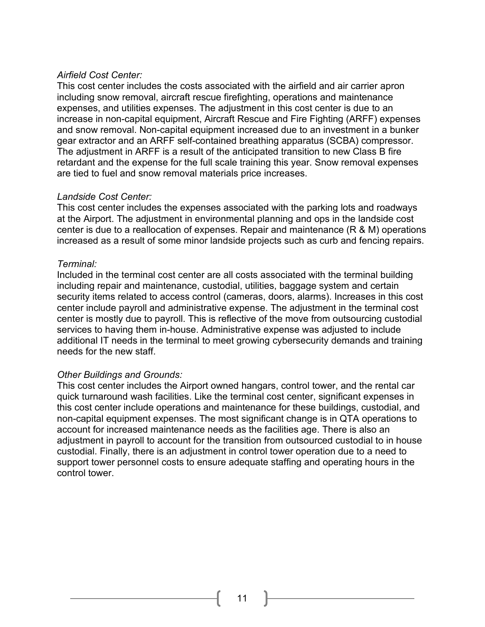#### <span id="page-11-0"></span>*Airfield Cost Center:*

This cost center includes the costs associated with the airfield and air carrier apron including snow removal, aircraft rescue firefighting, operations and maintenance expenses, and utilities expenses. The adjustment in this cost center is due to an increase in non-capital equipment, Aircraft Rescue and Fire Fighting (ARFF) expenses and snow removal. Non-capital equipment increased due to an investment in a bunker gear extractor and an ARFF self-contained breathing apparatus (SCBA) compressor. The adjustment in ARFF is a result of the anticipated transition to new Class B fire retardant and the expense for the full scale training this year. Snow removal expenses are tied to fuel and snow removal materials price increases.

#### <span id="page-11-1"></span>*Landside Cost Center:*

This cost center includes the expenses associated with the parking lots and roadways at the Airport. The adjustment in environmental planning and ops in the landside cost center is due to a reallocation of expenses. Repair and maintenance (R & M) operations increased as a result of some minor landside projects such as curb and fencing repairs.

## <span id="page-11-2"></span>*Terminal:*

Included in the terminal cost center are all costs associated with the terminal building including repair and maintenance, custodial, utilities, baggage system and certain security items related to access control (cameras, doors, alarms). Increases in this cost center include payroll and administrative expense. The adjustment in the terminal cost center is mostly due to payroll. This is reflective of the move from outsourcing custodial services to having them in-house. Administrative expense was adjusted to include additional IT needs in the terminal to meet growing cybersecurity demands and training needs for the new staff.

## <span id="page-11-3"></span>*Other Buildings and Grounds:*

This cost center includes the Airport owned hangars, control tower, and the rental car quick turnaround wash facilities. Like the terminal cost center, significant expenses in this cost center include operations and maintenance for these buildings, custodial, and non-capital equipment expenses. The most significant change is in QTA operations to account for increased maintenance needs as the facilities age. There is also an adjustment in payroll to account for the transition from outsourced custodial to in house custodial. Finally, there is an adjustment in control tower operation due to a need to support tower personnel costs to ensure adequate staffing and operating hours in the control tower.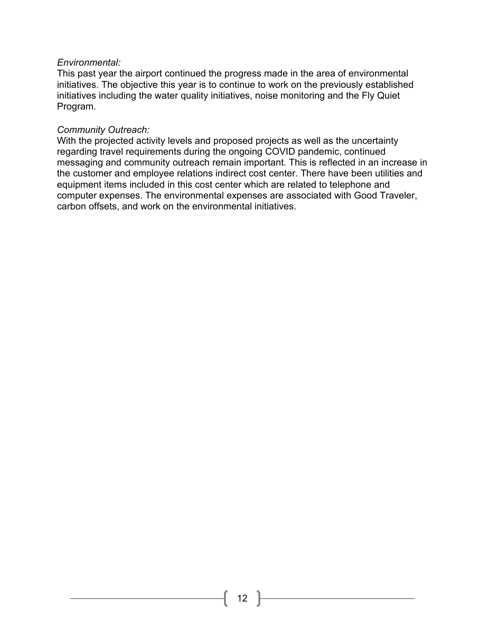#### <span id="page-12-0"></span>*Environmental:*

This past year the airport continued the progress made in the area of environmental initiatives. The objective this year is to continue to work on the previously established initiatives including the water quality initiatives, noise monitoring and the Fly Quiet Program.

#### <span id="page-12-1"></span>*Community Outreach:*

With the projected activity levels and proposed projects as well as the uncertainty regarding travel requirements during the ongoing COVID pandemic, continued messaging and community outreach remain important. This is reflected in an increase in the customer and employee relations indirect cost center. There have been utilities and equipment items included in this cost center which are related to telephone and computer expenses. The environmental expenses are associated with Good Traveler, carbon offsets, and work on the environmental initiatives.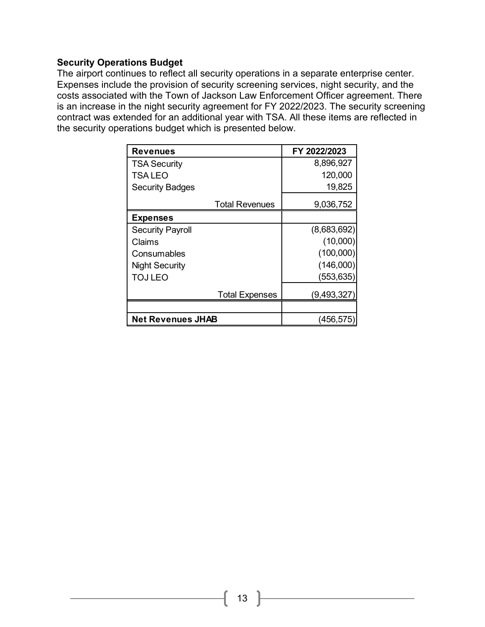#### <span id="page-13-0"></span>**Security Operations Budget**

The airport continues to reflect all security operations in a separate enterprise center. Expenses include the provision of security screening services, night security, and the costs associated with the Town of Jackson Law Enforcement Officer agreement. There is an increase in the night security agreement for FY 2022/2023. The security screening contract was extended for an additional year with TSA. All these items are reflected in the security operations budget which is presented below.

| <b>Revenues</b>          | FY 2022/2023  |
|--------------------------|---------------|
| <b>TSA Security</b>      | 8,896,927     |
| <b>TSALEO</b>            | 120,000       |
| <b>Security Badges</b>   | 19,825        |
| <b>Total Revenues</b>    | 9,036,752     |
| <b>Expenses</b>          |               |
| <b>Security Payroll</b>  | (8,683,692)   |
| Claims                   | (10,000)      |
| Consumables              | (100,000)     |
| <b>Night Security</b>    | (146,000)     |
| <b>TOJ LEO</b>           | (553, 635)    |
| <b>Total Expenses</b>    | (9, 493, 327) |
|                          |               |
| <b>Net Revenues JHAB</b> | (456,575      |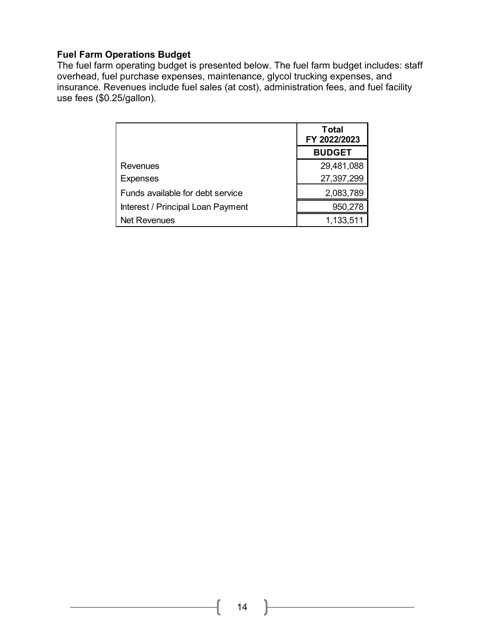## <span id="page-14-0"></span>**Fuel Farm Operations Budget**

The fuel farm operating budget is presented below. The fuel farm budget includes: staff overhead, fuel purchase expenses, maintenance, glycol trucking expenses, and insurance. Revenues include fuel sales (at cost), administration fees, and fuel facility use fees (\$0.25/gallon).

|                                   | <b>Total</b><br>FY 2022/2023 |
|-----------------------------------|------------------------------|
|                                   | <b>BUDGET</b>                |
| Revenues                          | 29,481,088                   |
| <b>Expenses</b>                   | 27,397,299                   |
| Funds available for debt service  | 2,083,789                    |
| Interest / Principal Loan Payment | 950,278                      |
| <b>Net Revenues</b>               | 1,133,51                     |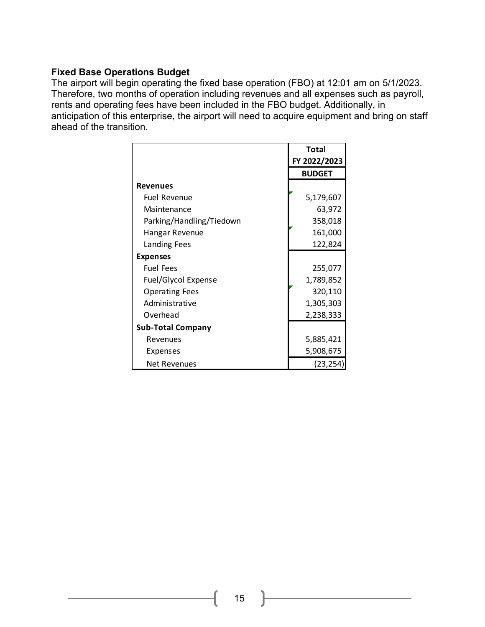## <span id="page-15-0"></span>**Fixed Base Operations Budget**

The airport will begin operating the fixed base operation (FBO) at 12:01 am on 5/1/2023. Therefore, two months of operation including revenues and all expenses such as payroll, rents and operating fees have been included in the FBO budget. Additionally, in anticipation of this enterprise, the airport will need to acquire equipment and bring on staff ahead of the transition.

|                          | Total         |
|--------------------------|---------------|
|                          | FY 2022/2023  |
|                          | <b>BUDGET</b> |
| <b>Revenues</b>          |               |
| <b>Fuel Revenue</b>      | 5,179,607     |
| Maintenance              | 63,972        |
| Parking/Handling/Tiedown | 358,018       |
| Hangar Revenue           | 161,000       |
| Landing Fees             | 122,824       |
| <b>Expenses</b>          |               |
| <b>Fuel Fees</b>         | 255,077       |
| Fuel/Glycol Expense      | 1,789,852     |
| <b>Operating Fees</b>    | 320,110       |
| Administrative           | 1,305,303     |
| Overhead                 | 2,238,333     |
| <b>Sub-Total Company</b> |               |
| Revenues                 | 5,885,421     |
| Expenses                 | 5,908,675     |
| <b>Net Revenues</b>      | (23, 254)     |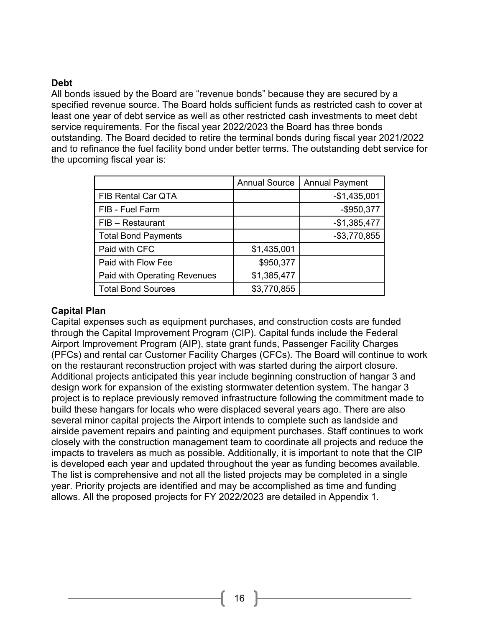## <span id="page-16-0"></span>**Debt**

All bonds issued by the Board are "revenue bonds" because they are secured by a specified revenue source. The Board holds sufficient funds as restricted cash to cover at least one year of debt service as well as other restricted cash investments to meet debt service requirements. For the fiscal year 2022/2023 the Board has three bonds outstanding. The Board decided to retire the terminal bonds during fiscal year 2021/2022 and to refinance the fuel facility bond under better terms. The outstanding debt service for the upcoming fiscal year is:

|                                     | <b>Annual Source</b> | <b>Annual Payment</b> |
|-------------------------------------|----------------------|-----------------------|
| FIB Rental Car QTA                  |                      | $-$1,435,001$         |
| FIB - Fuel Farm                     |                      | $-$ \$950,377         |
| FIB - Restaurant                    |                      | $-$1,385,477$         |
| <b>Total Bond Payments</b>          |                      | $-$3,770,855$         |
| Paid with CFC                       | \$1,435,001          |                       |
| Paid with Flow Fee                  | \$950,377            |                       |
| <b>Paid with Operating Revenues</b> | \$1,385,477          |                       |
| <b>Total Bond Sources</b>           | \$3,770,855          |                       |

## <span id="page-16-1"></span>**Capital Plan**

Capital expenses such as equipment purchases, and construction costs are funded through the Capital Improvement Program (CIP). Capital funds include the Federal Airport Improvement Program (AIP), state grant funds, Passenger Facility Charges (PFCs) and rental car Customer Facility Charges (CFCs). The Board will continue to work on the restaurant reconstruction project with was started during the airport closure. Additional projects anticipated this year include beginning construction of hangar 3 and design work for expansion of the existing stormwater detention system. The hangar 3 project is to replace previously removed infrastructure following the commitment made to build these hangars for locals who were displaced several years ago. There are also several minor capital projects the Airport intends to complete such as landside and airside pavement repairs and painting and equipment purchases. Staff continues to work closely with the construction management team to coordinate all projects and reduce the impacts to travelers as much as possible. Additionally, it is important to note that the CIP is developed each year and updated throughout the year as funding becomes available. The list is comprehensive and not all the listed projects may be completed in a single year. Priority projects are identified and may be accomplished as time and funding allows. All the proposed projects for FY 2022/2023 are detailed in Appendix 1.